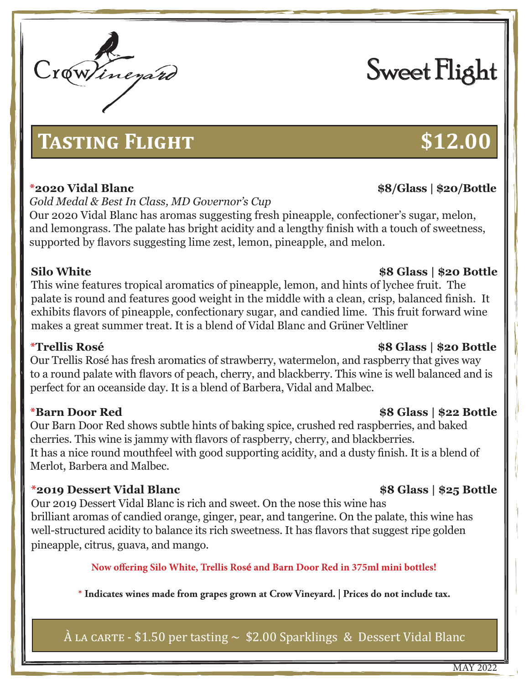# **TASTING FLIGHT \$12.00**

# **\*2020 Vidal Blanc \$8/Glass | \$20/Bottle**

*Gold Medal & Best In Class, MD Governor's Cup*

Our 2020 Vidal Blanc has aromas suggesting fresh pineapple, confectioner's sugar, melon, and lemongrass. The palate has bright acidity and a lengthy finish with a touch of sweetness, supported by flavors suggesting lime zest, lemon, pineapple, and melon.

This wine features tropical aromatics of pineapple, lemon, and hints of lychee fruit. The palate is round and features good weight in the middle with a clean, crisp, balanced finish. It exhibits flavors of pineapple, confectionary sugar, and candied lime. This fruit forward wine makes a great summer treat. It is a blend of Vidal Blanc and Grüner Veltliner

Our Trellis Rosé has fresh aromatics of strawberry, watermelon, and raspberry that gives way to a round palate with flavors of peach, cherry, and blackberry. This wine is well balanced and is perfect for an oceanside day. It is a blend of Barbera, Vidal and Malbec.

Our Barn Door Red shows subtle hints of baking spice, crushed red raspberries, and baked cherries. This wine is jammy with flavors of raspberry, cherry, and blackberries. It has a nice round mouthfeel with good supporting acidity, and a dusty finish. It is a blend of Merlot, Barbera and Malbec.

# **\*2019 Dessert Vidal Blanc \$8 Glass | \$25 Bottle**

Our 2019 Dessert Vidal Blanc is rich and sweet. On the nose this wine has brilliant aromas of candied orange, ginger, pear, and tangerine. On the palate, this wine has well-structured acidity to balance its rich sweetness. It has flavors that suggest ripe golden pineapple, citrus, guava, and mango.

**Now offering Silo White, Trellis Rosé and Barn Door Red in 375ml mini bottles!**

**\* Indicates wines made from grapes grown at Crow Vineyard. | Prices do not include tax.**

 $\hat{A}$  LA CARTE - \$1.50 per tasting  $\sim$  \$2.00 Sparklings & Dessert Vidal Blanc

# **\*Trellis Rosé \$8 Glass | \$20 Bottle**

# **Silo White \$8 Glass | \$20 Bottle**

# **\*Barn Door Red \$8 Glass | \$22 Bottle**

MAY 2022

# Sweet Flight